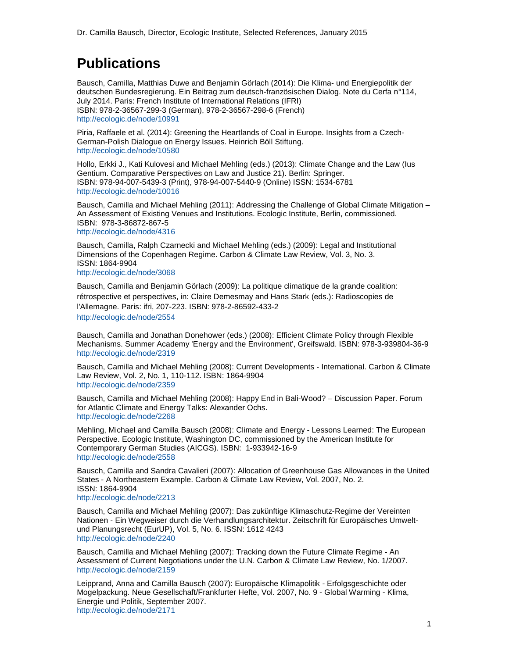# **Publications**

Bausch, Camilla, Matthias Duwe and Benjamin Görlach (2014): Die Klima- und Energiepolitik der deutschen Bundesregierung. Ein Beitrag zum deutsch-französischen Dialog. Note du Cerfa n°114, July 2014. Paris: French Institute of International Relations (IFRI) ISBN: 978-2-36567-299-3 (German), 978-2-36567-298-6 (French) http://ecologic.de/node/10991

Piria, Raffaele et al. (2014): Greening the Heartlands of Coal in Europe. Insights from a Czech-German-Polish Dialogue on Energy Issues. Heinrich Böll Stiftung. http://ecologic.de/node/10580

Hollo, Erkki J., Kati Kulovesi and Michael Mehling (eds.) (2013): Climate Change and the Law (Ius Gentium. Comparative Perspectives on Law and Justice 21). Berlin: Springer. ISBN: 978-94-007-5439-3 (Print), 978-94-007-5440-9 (Online) ISSN: 1534-6781 http://ecologic.de/node/10016

Bausch, Camilla and Michael Mehling (2011): Addressing the Challenge of Global Climate Mitigation – An Assessment of Existing Venues and Institutions. Ecologic Institute, Berlin, commissioned. ISBN: 978-3-86872-867-5 http://ecologic.de/node/4316

Bausch, Camilla, Ralph Czarnecki and Michael Mehling (eds.) (2009): Legal and Institutional Dimensions of the Copenhagen Regime. Carbon & Climate Law Review, Vol. 3, No. 3. ISSN: 1864-9904 http://ecologic.de/node/3068

Bausch, Camilla and Benjamin Görlach (2009): La politique climatique de la grande coalition: rétrospective et perspectives, in: Claire Demesmay and Hans Stark (eds.): Radioscopies de l'Allemagne. Paris: ifri, 207-223. ISBN: 978-2-86592-433-2 http://ecologic.de/node/2554

Bausch, Camilla and Jonathan Donehower (eds.) (2008): Efficient Climate Policy through Flexible Mechanisms. Summer Academy 'Energy and the Environment', Greifswald. ISBN: 978-3-939804-36-9 http://ecologic.de/node/2319

Bausch, Camilla and Michael Mehling (2008): Current Developments - International. Carbon & Climate Law Review, Vol. 2, No. 1, 110-112. ISBN: 1864-9904 http://ecologic.de/node/2359

Bausch, Camilla and Michael Mehling (2008): Happy End in Bali-Wood? – Discussion Paper. Forum for Atlantic Climate and Energy Talks: Alexander Ochs. http://ecologic.de/node/2268

Mehling, Michael and Camilla Bausch (2008): Climate and Energy - Lessons Learned: The European Perspective. Ecologic Institute, Washington DC, commissioned by the American Institute for Contemporary German Studies (AICGS). ISBN: 1-933942-16-9 http://ecologic.de/node/2558

Bausch, Camilla and Sandra Cavalieri (2007): Allocation of Greenhouse Gas Allowances in the United States - A Northeastern Example. Carbon & Climate Law Review, Vol. 2007, No. 2. ISSN: 1864-9904 http://ecologic.de/node/2213

Bausch, Camilla and Michael Mehling (2007): Das zukünftige Klimaschutz-Regime der Vereinten Nationen - Ein Wegweiser durch die Verhandlungsarchitektur. Zeitschrift für Europäisches Umweltund Planungsrecht (EurUP), Vol. 5, No. 6. ISSN: 1612 4243 http://ecologic.de/node/2240

Bausch, Camilla and Michael Mehling (2007): Tracking down the Future Climate Regime - An Assessment of Current Negotiations under the U.N. Carbon & Climate Law Review, No. 1/2007. http://ecologic.de/node/2159

Leipprand, Anna and Camilla Bausch (2007): Europäische Klimapolitik - Erfolgsgeschichte oder Mogelpackung. Neue Gesellschaft/Frankfurter Hefte, Vol. 2007, No. 9 - Global Warming - Klima, Energie und Politik, September 2007. http://ecologic.de/node/2171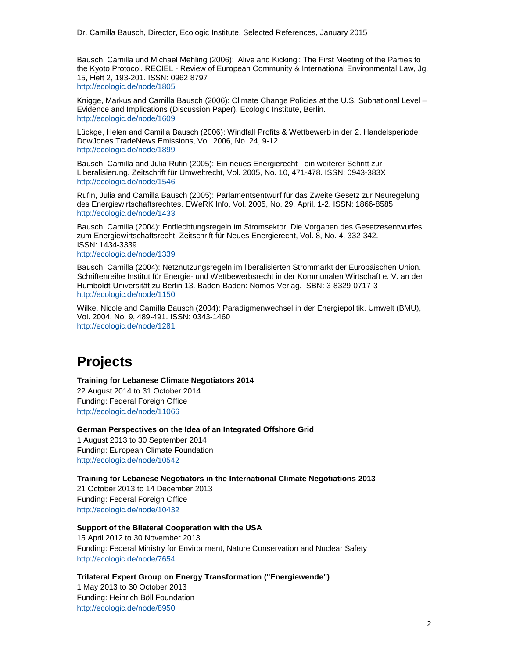Bausch, Camilla und Michael Mehling (2006): 'Alive and Kicking': The First Meeting of the Parties to the Kyoto Protocol. RECIEL - Review of European Community & International Environmental Law, Jg. 15, Heft 2, 193-201. ISSN: 0962 8797 http://ecologic.de/node/1805

Knigge, Markus and Camilla Bausch (2006): Climate Change Policies at the U.S. Subnational Level – Evidence and Implications (Discussion Paper). Ecologic Institute, Berlin. http://ecologic.de/node/1609

Lückge, Helen and Camilla Bausch (2006): Windfall Profits & Wettbewerb in der 2. Handelsperiode. DowJones TradeNews Emissions, Vol. 2006, No. 24, 9-12. http://ecologic.de/node/1899

Bausch, Camilla and Julia Rufin (2005): Ein neues Energierecht - ein weiterer Schritt zur Liberalisierung. Zeitschrift für Umweltrecht, Vol. 2005, No. 10, 471-478. ISSN: 0943-383X http://ecologic.de/node/1546

Rufin, Julia and Camilla Bausch (2005): Parlamentsentwurf für das Zweite Gesetz zur Neuregelung des Energiewirtschaftsrechtes. EWeRK Info, Vol. 2005, No. 29. April, 1-2. ISSN: 1866-8585 http://ecologic.de/node/1433

Bausch, Camilla (2004): Entflechtungsregeln im Stromsektor. Die Vorgaben des Gesetzesentwurfes zum Energiewirtschaftsrecht. Zeitschrift für Neues Energierecht, Vol. 8, No. 4, 332-342. ISSN: 1434-3339 http://ecologic.de/node/1339

Bausch, Camilla (2004): Netznutzungsregeln im liberalisierten Strommarkt der Europäischen Union. Schriftenreihe Institut für Energie- und Wettbewerbsrecht in der Kommunalen Wirtschaft e. V. an der Humboldt-Universität zu Berlin 13. Baden-Baden: Nomos-Verlag. ISBN: 3-8329-0717-3 http://ecologic.de/node/1150

Wilke, Nicole and Camilla Bausch (2004): Paradigmenwechsel in der Energiepolitik. Umwelt (BMU), Vol. 2004, No. 9, 489-491. ISSN: 0343-1460 http://ecologic.de/node/1281

# **Projects**

#### **Training for Lebanese Climate Negotiators 2014**

22 August 2014 to 31 October 2014 Funding: Federal Foreign Office http://ecologic.de/node/11066

**German Perspectives on the Idea of an Integrated Offshore Grid** 

1 August 2013 to 30 September 2014 Funding: European Climate Foundation http://ecologic.de/node/10542

### **Training for Lebanese Negotiators in the International Climate Negotiations 2013**

21 October 2013 to 14 December 2013 Funding: Federal Foreign Office http://ecologic.de/node/10432

### **Support of the Bilateral Cooperation with the USA**

15 April 2012 to 30 November 2013 Funding: Federal Ministry for Environment, Nature Conservation and Nuclear Safety http://ecologic.de/node/7654

### **Trilateral Expert Group on Energy Transformation ("Energiewende")**

1 May 2013 to 30 October 2013 Funding: Heinrich Böll Foundation http://ecologic.de/node/8950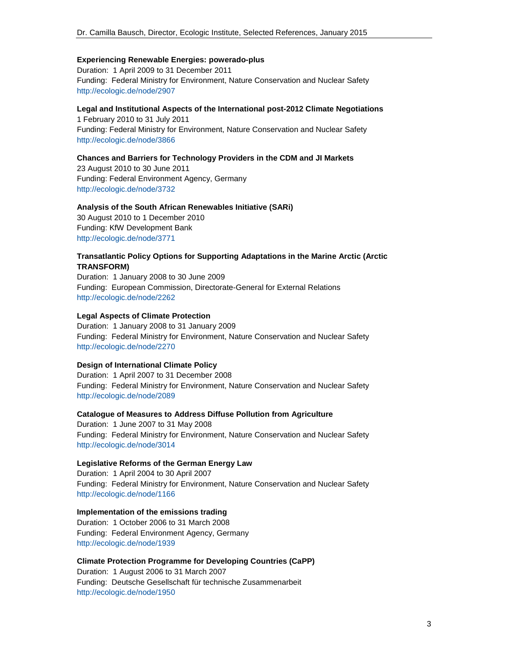### **Experiencing Renewable Energies: powerado-plus**

Duration: 1 April 2009 to 31 December 2011 Funding: Federal Ministry for Environment, Nature Conservation and Nuclear Safety http://ecologic.de/node/2907

## **Legal and Institutional Aspects of the International post-2012 Climate Negotiations**

1 February 2010 to 31 July 2011 Funding: Federal Ministry for Environment, Nature Conservation and Nuclear Safety http://ecologic.de/node/3866

### **Chances and Barriers for Technology Providers in the CDM and JI Markets**

23 August 2010 to 30 June 2011 Funding: Federal Environment Agency, Germany http://ecologic.de/node/3732

### **Analysis of the South African Renewables Initiative (SARi)**

30 August 2010 to 1 December 2010 Funding: KfW Development Bank http://ecologic.de/node/3771

### **Transatlantic Policy Options for Supporting Adaptations in the Marine Arctic (Arctic TRANSFORM)**

Duration: 1 January 2008 to 30 June 2009 Funding: European Commission, Directorate-General for External Relations http://ecologic.de/node/2262

### **Legal Aspects of Climate Protection**

Duration: 1 January 2008 to 31 January 2009 Funding: Federal Ministry for Environment, Nature Conservation and Nuclear Safety http://ecologic.de/node/2270

## **Design of International Climate Policy**

Duration: 1 April 2007 to 31 December 2008 Funding: Federal Ministry for Environment, Nature Conservation and Nuclear Safety http://ecologic.de/node/2089

### **Catalogue of Measures to Address Diffuse Pollution from Agriculture**

Duration: 1 June 2007 to 31 May 2008 Funding: Federal Ministry for Environment, Nature Conservation and Nuclear Safety http://ecologic.de/node/3014

### **Legislative Reforms of the German Energy Law**

Duration: 1 April 2004 to 30 April 2007 Funding: Federal Ministry for Environment, Nature Conservation and Nuclear Safety http://ecologic.de/node/1166

### **Implementation of the emissions trading**

Duration: 1 October 2006 to 31 March 2008 Funding: Federal Environment Agency, Germany http://ecologic.de/node/1939

### **Climate Protection Programme for Developing Countries (CaPP)**

Duration: 1 August 2006 to 31 March 2007 Funding: Deutsche Gesellschaft für technische Zusammenarbeit http://ecologic.de/node/1950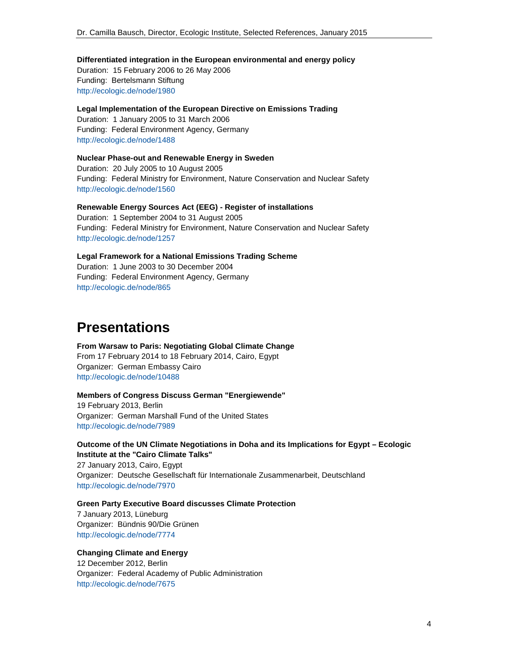**Differentiated integration in the European environmental and energy policy**  Duration: 15 February 2006 to 26 May 2006 Funding: Bertelsmann Stiftung http://ecologic.de/node/1980

**Legal Implementation of the European Directive on Emissions Trading**  Duration: 1 January 2005 to 31 March 2006 Funding: Federal Environment Agency, Germany http://ecologic.de/node/1488

**Nuclear Phase-out and Renewable Energy in Sweden**  Duration: 20 July 2005 to 10 August 2005 Funding: Federal Ministry for Environment, Nature Conservation and Nuclear Safety http://ecologic.de/node/1560

**Renewable Energy Sources Act (EEG) - Register of installations**  Duration: 1 September 2004 to 31 August 2005 Funding: Federal Ministry for Environment, Nature Conservation and Nuclear Safety http://ecologic.de/node/1257

**Legal Framework for a National Emissions Trading Scheme**  Duration: 1 June 2003 to 30 December 2004 Funding: Federal Environment Agency, Germany http://ecologic.de/node/865

# **Presentations**

**From Warsaw to Paris: Negotiating Global Climate Change** From 17 February 2014 to 18 February 2014, Cairo, Egypt Organizer: German Embassy Cairo http://ecologic.de/node/10488

**Members of Congress Discuss German "Energiewende"** 19 February 2013, Berlin Organizer: German Marshall Fund of the United States http://ecologic.de/node/7989

**Outcome of the UN Climate Negotiations in Doha and its Implications for Egypt – Ecologic Institute at the "Cairo Climate Talks"**

27 January 2013, Cairo, Egypt Organizer: Deutsche Gesellschaft für Internationale Zusammenarbeit, Deutschland http://ecologic.de/node/7970

**Green Party Executive Board discusses Climate Protection** 7 January 2013, Lüneburg

Organizer: Bündnis 90/Die Grünen http://ecologic.de/node/7774

**Changing Climate and Energy**  12 December 2012, Berlin

Organizer: Federal Academy of Public Administration http://ecologic.de/node/7675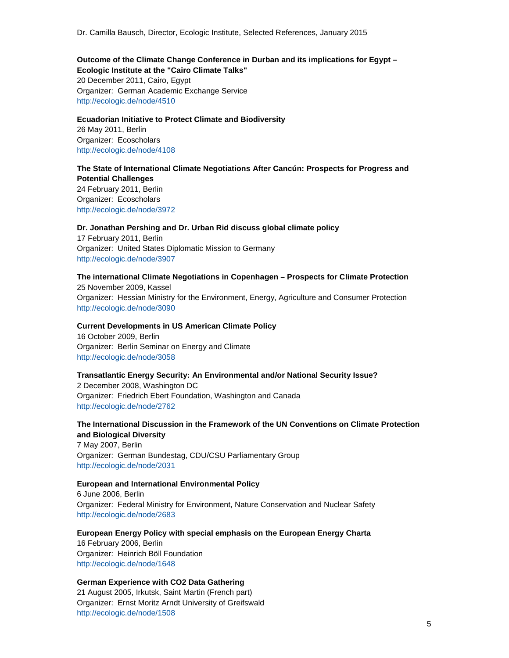# **Outcome of the Climate Change Conference in Durban and its implications for Egypt – Ecologic Institute at the "Cairo Climate Talks"**  20 December 2011, Cairo, Egypt

Organizer: German Academic Exchange Service http://ecologic.de/node/4510

# **Ecuadorian Initiative to Protect Climate and Biodiversity**  26 May 2011, Berlin Organizer: Ecoscholars http://ecologic.de/node/4108

# **The State of International Climate Negotiations After Cancún: Prospects for Progress and Potential Challenges**

24 February 2011, Berlin Organizer: Ecoscholars http://ecologic.de/node/3972

### **Dr. Jonathan Pershing and Dr. Urban Rid discuss global climate policy**

17 February 2011, Berlin Organizer: United States Diplomatic Mission to Germany http://ecologic.de/node/3907

### **The international Climate Negotiations in Copenhagen – Prospects for Climate Protection** 25 November 2009, Kassel

Organizer: Hessian Ministry for the Environment, Energy, Agriculture and Consumer Protection http://ecologic.de/node/3090

### **Current Developments in US American Climate Policy**

16 October 2009, Berlin Organizer: Berlin Seminar on Energy and Climate http://ecologic.de/node/3058

# **Transatlantic Energy Security: An Environmental and/or National Security Issue?**

2 December 2008, Washington DC Organizer: Friedrich Ebert Foundation, Washington and Canada http://ecologic.de/node/2762

**The International Discussion in the Framework of the UN Conventions on Climate Protection and Biological Diversity**  7 May 2007, Berlin Organizer: German Bundestag, CDU/CSU Parliamentary Group http://ecologic.de/node/2031

### **European and International Environmental Policy**

6 June 2006, Berlin Organizer: Federal Ministry for Environment, Nature Conservation and Nuclear Safety http://ecologic.de/node/2683

**European Energy Policy with special emphasis on the European Energy Charta**  16 February 2006, Berlin Organizer: Heinrich Böll Foundation http://ecologic.de/node/1648

### **German Experience with CO2 Data Gathering**

21 August 2005, Irkutsk, Saint Martin (French part) Organizer: Ernst Moritz Arndt University of Greifswald http://ecologic.de/node/1508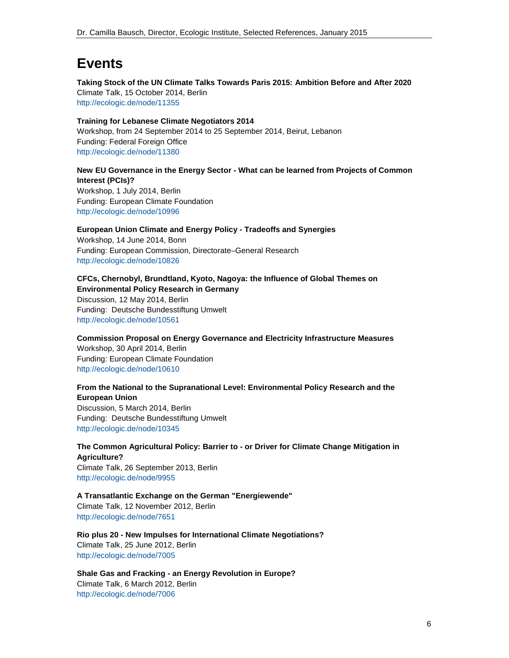# **Events**

**Taking Stock of the UN Climate Talks Towards Paris 2015: Ambition Before and After 2020**  Climate Talk, 15 October 2014, Berlin http://ecologic.de/node/11355

**Training for Lebanese Climate Negotiators 2014**  Workshop, from 24 September 2014 to 25 September 2014, Beirut, Lebanon Funding: Federal Foreign Office http://ecologic.de/node/11380

# **New EU Governance in the Energy Sector - What can be learned from Projects of Common Interest (PCIs)?**

Workshop, 1 July 2014, Berlin Funding: European Climate Foundation http://ecologic.de/node/10996

### **European Union Climate and Energy Policy - Tradeoffs and Synergies**

Workshop, 14 June 2014, Bonn Funding: European Commission, Directorate–General Research http://ecologic.de/node/10826

### **CFCs, Chernobyl, Brundtland, Kyoto, Nagoya: the Influence of Global Themes on Environmental Policy Research in Germany**

Discussion, 12 May 2014, Berlin Funding: Deutsche Bundesstiftung Umwelt http://ecologic.de/node/10561

# **Commission Proposal on Energy Governance and Electricity Infrastructure Measures**  Workshop, 30 April 2014, Berlin Funding: European Climate Foundation http://ecologic.de/node/10610

# **From the National to the Supranational Level: Environmental Policy Research and the European Union**

Discussion, 5 March 2014, Berlin Funding: Deutsche Bundesstiftung Umwelt http://ecologic.de/node/10345

**The Common Agricultural Policy: Barrier to - or Driver for Climate Change Mitigation in Agriculture?**  Climate Talk, 26 September 2013, Berlin

http://ecologic.de/node/9955

# **A Transatlantic Exchange on the German "Energiewende"**  Climate Talk, 12 November 2012, Berlin http://ecologic.de/node/7651

**Rio plus 20 - New Impulses for International Climate Negotiations?**  Climate Talk, 25 June 2012, Berlin http://ecologic.de/node/7005

**Shale Gas and Fracking - an Energy Revolution in Europe?**  Climate Talk, 6 March 2012, Berlin http://ecologic.de/node/7006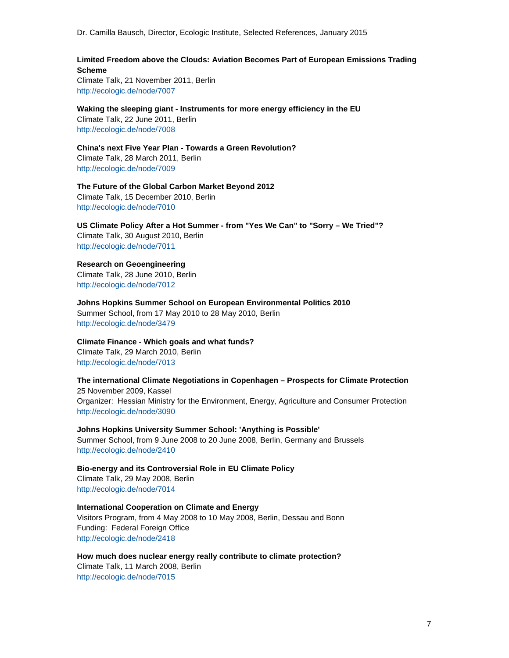## **Limited Freedom above the Clouds: Aviation Becomes Part of European Emissions Trading Scheme**

Climate Talk, 21 November 2011, Berlin http://ecologic.de/node/7007

**Waking the sleeping giant - Instruments for more energy efficiency in the EU** 

Climate Talk, 22 June 2011, Berlin http://ecologic.de/node/7008

**China's next Five Year Plan - Towards a Green Revolution?**  Climate Talk, 28 March 2011, Berlin http://ecologic.de/node/7009

**The Future of the Global Carbon Market Beyond 2012**  Climate Talk, 15 December 2010, Berlin http://ecologic.de/node/7010

# **US Climate Policy After a Hot Summer - from "Yes We Can" to "Sorry – We Tried"?**

Climate Talk, 30 August 2010, Berlin http://ecologic.de/node/7011

### **Research on Geoengineering**

Climate Talk, 28 June 2010, Berlin http://ecologic.de/node/7012

**Johns Hopkins Summer School on European Environmental Politics 2010**  Summer School, from 17 May 2010 to 28 May 2010, Berlin http://ecologic.de/node/3479

**Climate Finance - Which goals and what funds?** 

Climate Talk, 29 March 2010, Berlin http://ecologic.de/node/7013

**The international Climate Negotiations in Copenhagen – Prospects for Climate Protection**

25 November 2009, Kassel Organizer: Hessian Ministry for the Environment, Energy, Agriculture and Consumer Protection http://ecologic.de/node/3090

**Johns Hopkins University Summer School: 'Anything is Possible'** 

Summer School, from 9 June 2008 to 20 June 2008, Berlin, Germany and Brussels http://ecologic.de/node/2410

**Bio-energy and its Controversial Role in EU Climate Policy**  Climate Talk, 29 May 2008, Berlin http://ecologic.de/node/7014

### **International Cooperation on Climate and Energy**

Visitors Program, from 4 May 2008 to 10 May 2008, Berlin, Dessau and Bonn Funding:Federal Foreign Office http://ecologic.de/node/2418

**How much does nuclear energy really contribute to climate protection?**  Climate Talk, 11 March 2008, Berlin http://ecologic.de/node/7015